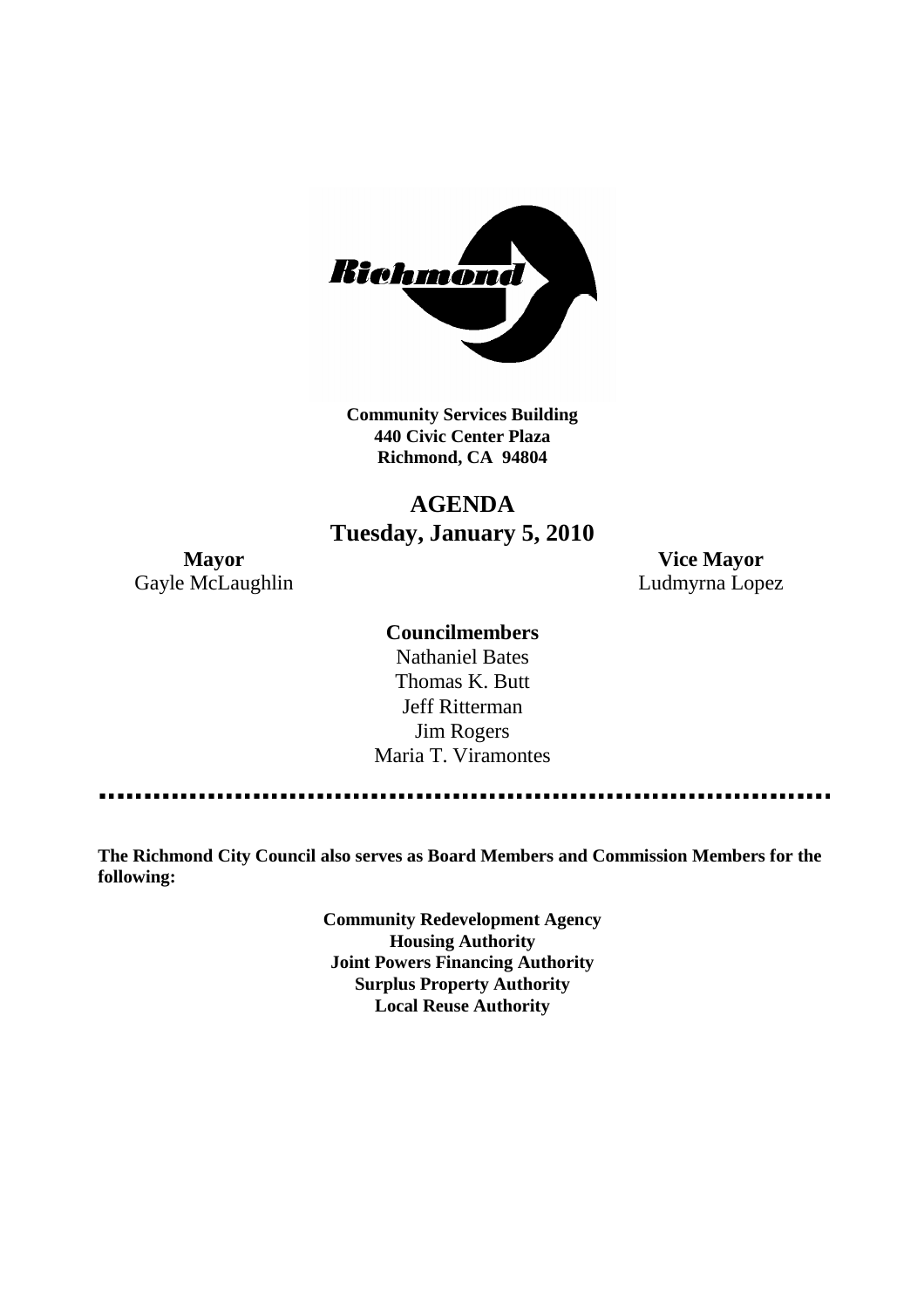

**Community Services Building 440 Civic Center Plaza Richmond, CA 94804**

# **AGENDA Tuesday, January 5, 2010**

**Mayor Vice Mayor** Gayle McLaughlin **Ludmyrna Lopez** 

#### **Councilmembers**

Nathaniel Bates Thomas K. Butt Jeff Ritterman Jim Rogers Maria T. Viramontes

**The Richmond City Council also serves as Board Members and Commission Members for the following:**

> **Community Redevelopment Agency Housing Authority Joint Powers Financing Authority Surplus Property Authority Local Reuse Authority**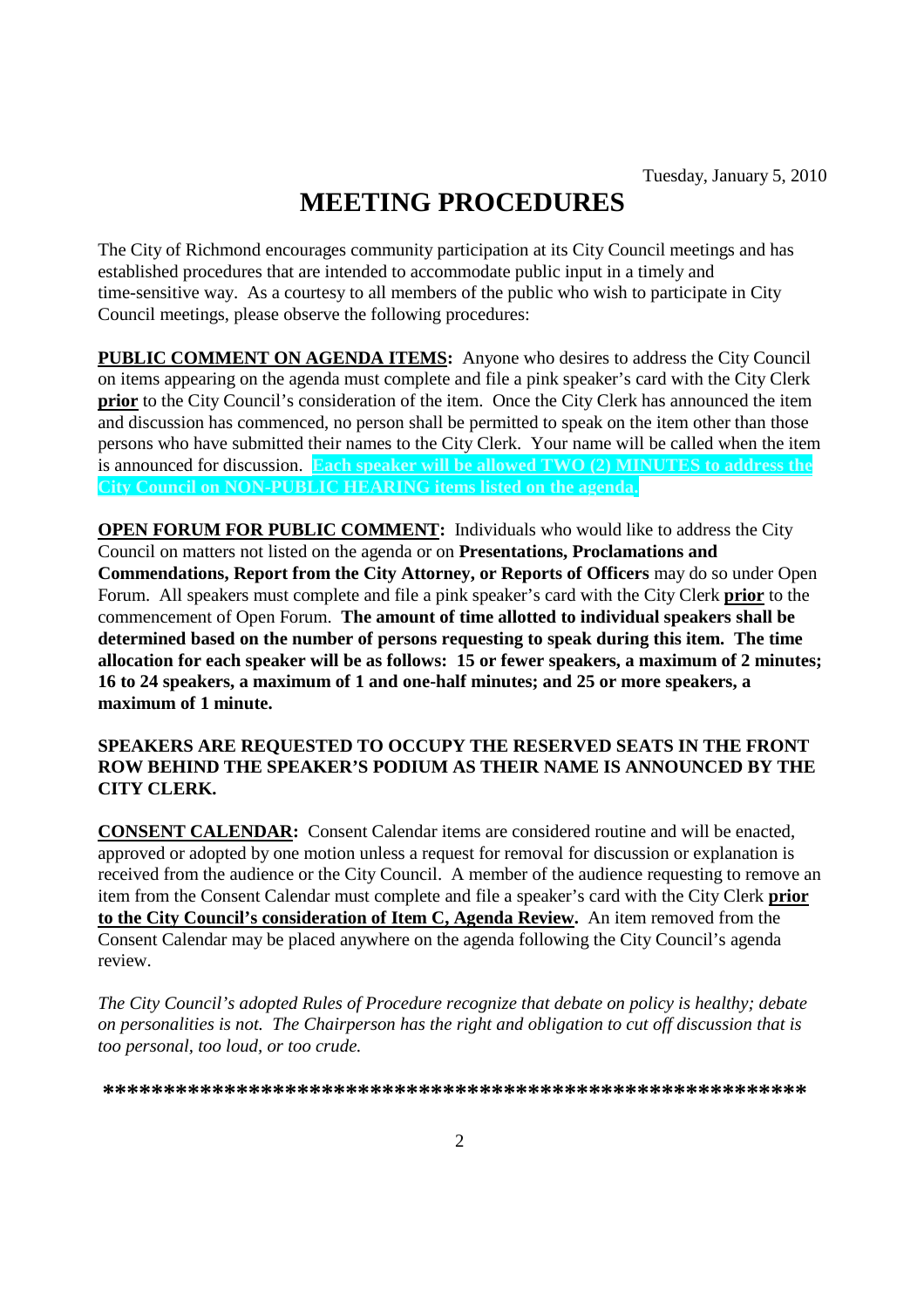# **MEETING PROCEDURES**

The City of Richmond encourages community participation at its City Council meetings and has established procedures that are intended to accommodate public input in a timely and time-sensitive way. As a courtesy to all members of the public who wish to participate in City Council meetings, please observe the following procedures:

**PUBLIC COMMENT ON AGENDA ITEMS:** Anyone who desires to address the City Council on items appearing on the agenda must complete and file a pink speaker's card with the City Clerk **prior** to the City Council's consideration of the item. Once the City Clerk has announced the item and discussion has commenced, no person shall be permitted to speak on the item other than those persons who have submitted their names to the City Clerk. Your name will be called when the item is announced for discussion. **Each speaker will be allowed TWO (2) MINUTES to address the City Council on NON-PUBLIC HEARING items listed on the agenda.**

**OPEN FORUM FOR PUBLIC COMMENT:** Individuals who would like to address the City Council on matters not listed on the agenda or on **Presentations, Proclamations and Commendations, Report from the City Attorney, or Reports of Officers** may do so under Open Forum. All speakers must complete and file a pink speaker's card with the City Clerk **prior** to the commencement of Open Forum. **The amount of time allotted to individual speakers shall be determined based on the number of persons requesting to speak during this item. The time allocation for each speaker will be as follows: 15 or fewer speakers, a maximum of 2 minutes; 16 to 24 speakers, a maximum of 1 and one-half minutes; and 25 or more speakers, a maximum of 1 minute.**

#### **SPEAKERS ARE REQUESTED TO OCCUPY THE RESERVED SEATS IN THE FRONT ROW BEHIND THE SPEAKER'S PODIUM AS THEIR NAME IS ANNOUNCED BY THE CITY CLERK.**

**CONSENT CALENDAR:** Consent Calendar items are considered routine and will be enacted, approved or adopted by one motion unless a request for removal for discussion or explanation is received from the audience or the City Council. A member of the audience requesting to remove an item from the Consent Calendar must complete and file a speaker's card with the City Clerk **prior to the City Council's consideration of Item C, Agenda Review.** An item removed from the Consent Calendar may be placed anywhere on the agenda following the City Council's agenda review.

*The City Council's adopted Rules of Procedure recognize that debate on policy is healthy; debate on personalities is not. The Chairperson has the right and obligation to cut off discussion that is too personal, too loud, or too crude.*

**\*\*\*\*\*\*\*\*\*\*\*\*\*\*\*\*\*\*\*\*\*\*\*\*\*\*\*\*\*\*\*\*\*\*\*\*\*\*\*\*\*\*\*\*\*\*\*\*\*\*\*\*\*\*\*\*\*\***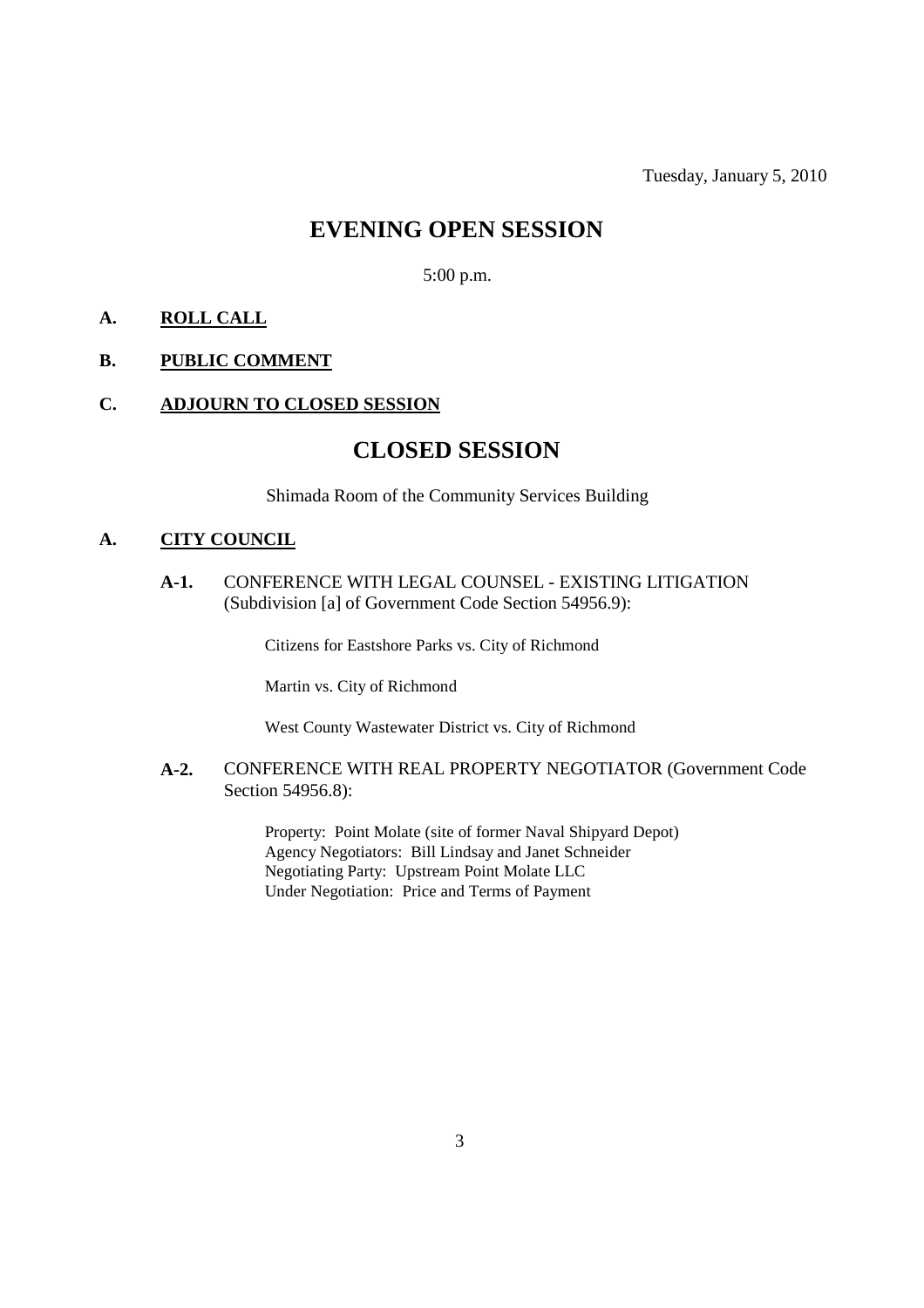## **EVENING OPEN SESSION**

5:00 p.m.

#### **A. ROLL CALL**

#### **B. PUBLIC COMMENT**

#### **C. ADJOURN TO CLOSED SESSION**

### **CLOSED SESSION**

Shimada Room of the Community Services Building

#### **A. CITY COUNCIL**

**A-1.** CONFERENCE WITH LEGAL COUNSEL - EXISTING LITIGATION (Subdivision [a] of Government Code Section 54956.9):

Citizens for Eastshore Parks vs. City of Richmond

Martin vs. City of Richmond

West County Wastewater District vs. City of Richmond

**A-2.** CONFERENCE WITH REAL PROPERTY NEGOTIATOR (Government Code Section 54956.8):

> Property: Point Molate (site of former Naval Shipyard Depot) Agency Negotiators: Bill Lindsay and Janet Schneider Negotiating Party: Upstream Point Molate LLC Under Negotiation: Price and Terms of Payment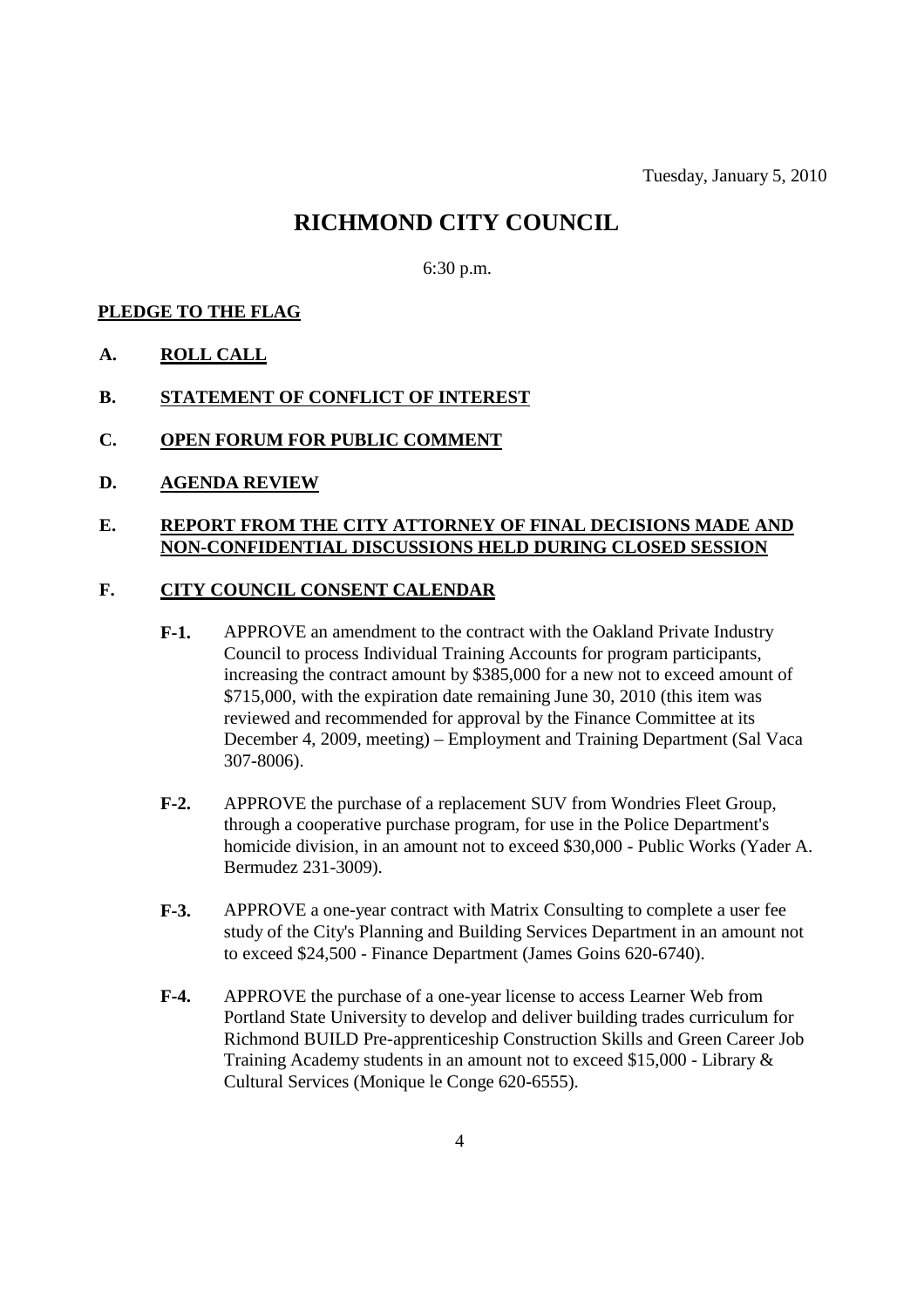# **RICHMOND CITY COUNCIL**

6:30 p.m.

#### **PLEDGE TO THE FLAG**

- **A. ROLL CALL**
- **B. STATEMENT OF CONFLICT OF INTEREST**
- **C. OPEN FORUM FOR PUBLIC COMMENT**
- **D. AGENDA REVIEW**

#### **E. REPORT FROM THE CITY ATTORNEY OF FINAL DECISIONS MADE AND NON-CONFIDENTIAL DISCUSSIONS HELD DURING CLOSED SESSION**

#### **F. CITY COUNCIL CONSENT CALENDAR**

- **F-1.** APPROVE an amendment to the contract with the Oakland Private Industry Council to process Individual Training Accounts for program participants, increasing the contract amount by \$385,000 for a new not to exceed amount of \$715,000, with the expiration date remaining June 30, 2010 (this item was reviewed and recommended for approval by the Finance Committee at its December 4, 2009, meeting) – Employment and Training Department (Sal Vaca 307-8006).
- **F-2.** APPROVE the purchase of a replacement SUV from Wondries Fleet Group, through a cooperative purchase program, for use in the Police Department's homicide division, in an amount not to exceed \$30,000 - Public Works (Yader A. Bermudez 231-3009).
- **F-3.** APPROVE a one-year contract with Matrix Consulting to complete a user fee study of the City's Planning and Building Services Department in an amount not to exceed \$24,500 - Finance Department (James Goins 620-6740).
- **F-4.** APPROVE the purchase of a one-year license to access Learner Web from Portland State University to develop and deliver building trades curriculum for Richmond BUILD Pre-apprenticeship Construction Skills and Green Career Job Training Academy students in an amount not to exceed \$15,000 - Library & Cultural Services (Monique le Conge 620-6555).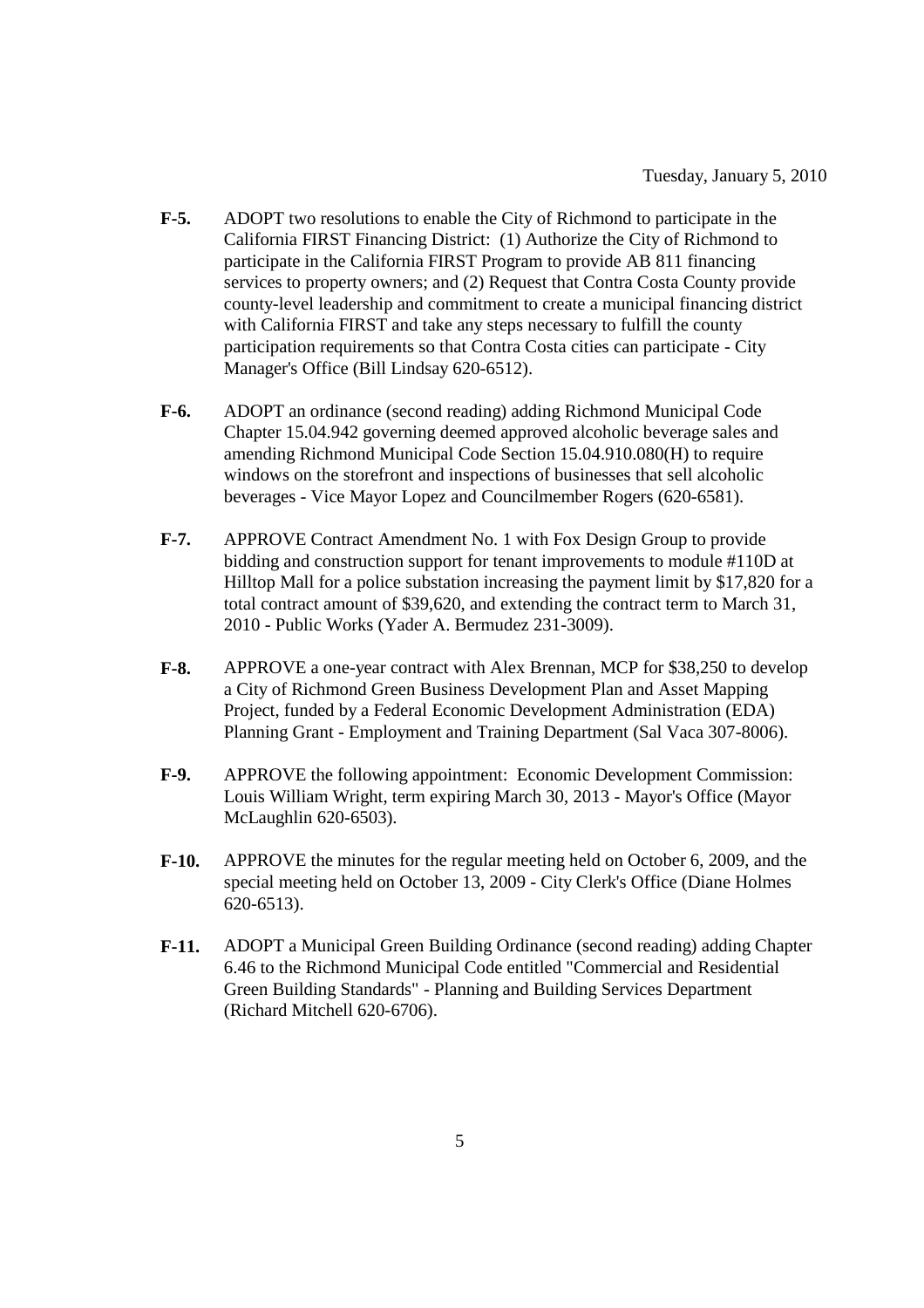- **F-5.** ADOPT two resolutions to enable the City of Richmond to participate in the California FIRST Financing District: (1) Authorize the City of Richmond to participate in the California FIRST Program to provide AB 811 financing services to property owners; and (2) Request that Contra Costa County provide county-level leadership and commitment to create a municipal financing district with California FIRST and take any steps necessary to fulfill the county participation requirements so that Contra Costa cities can participate - City Manager's Office (Bill Lindsay 620-6512).
- **F-6.** ADOPT an ordinance (second reading) adding Richmond Municipal Code Chapter 15.04.942 governing deemed approved alcoholic beverage sales and amending Richmond Municipal Code Section 15.04.910.080(H) to require windows on the storefront and inspections of businesses that sell alcoholic beverages - Vice Mayor Lopez and Councilmember Rogers (620-6581).
- **F-7.** APPROVE Contract Amendment No. 1 with Fox Design Group to provide bidding and construction support for tenant improvements to module #110D at Hilltop Mall for a police substation increasing the payment limit by \$17,820 for a total contract amount of \$39,620, and extending the contract term to March 31, 2010 - Public Works (Yader A. Bermudez 231-3009).
- **F-8.** APPROVE a one-year contract with Alex Brennan, MCP for \$38,250 to develop a City of Richmond Green Business Development Plan and Asset Mapping Project, funded by a Federal Economic Development Administration (EDA) Planning Grant - Employment and Training Department (Sal Vaca 307-8006).
- **F-9.** APPROVE the following appointment: Economic Development Commission: Louis William Wright, term expiring March 30, 2013 - Mayor's Office (Mayor McLaughlin 620-6503).
- **F-10.** APPROVE the minutes for the regular meeting held on October 6, 2009, and the special meeting held on October 13, 2009 - City Clerk's Office (Diane Holmes 620-6513).
- **F-11.** ADOPT a Municipal Green Building Ordinance (second reading) adding Chapter 6.46 to the Richmond Municipal Code entitled "Commercial and Residential Green Building Standards" - Planning and Building Services Department (Richard Mitchell 620-6706).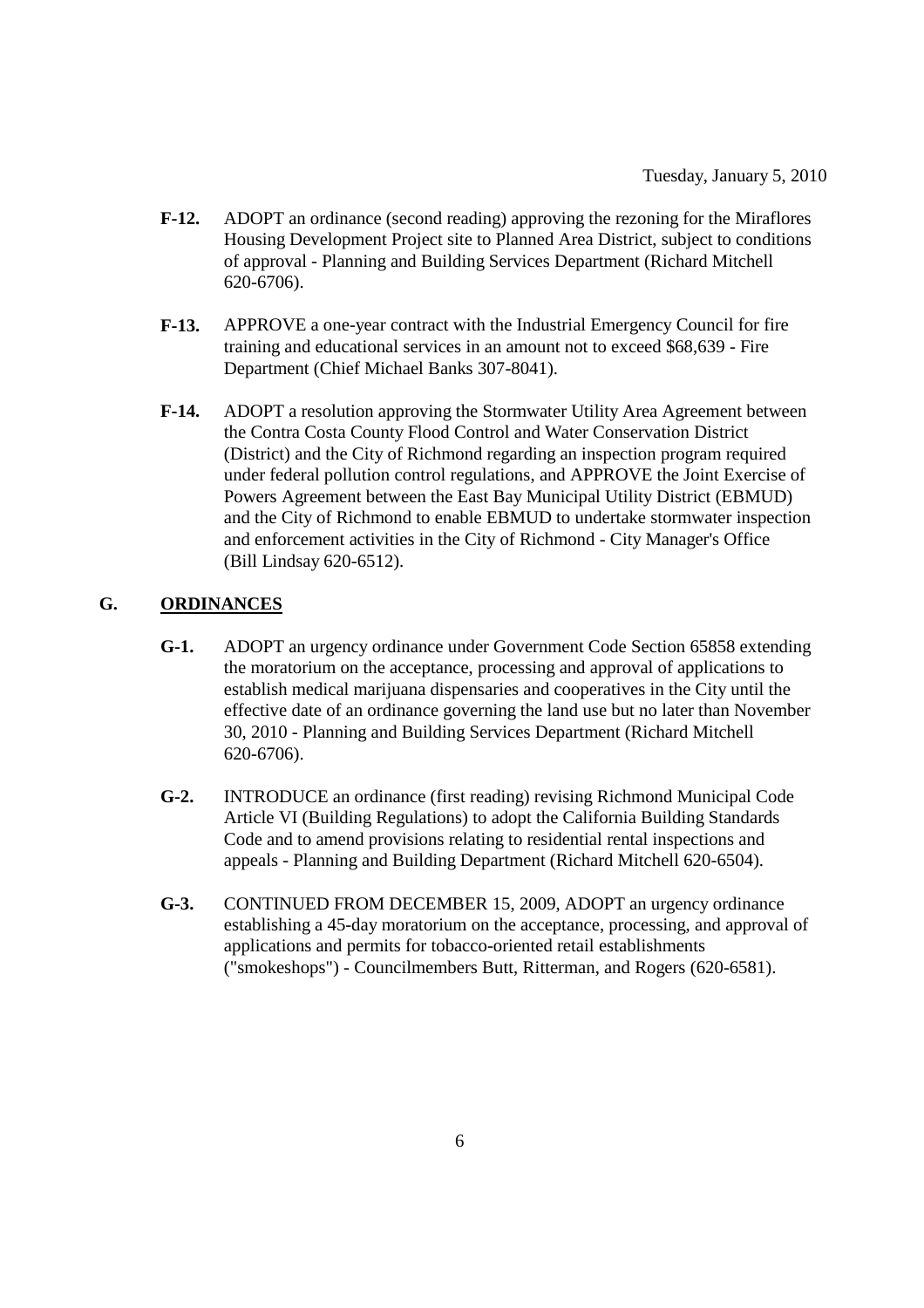- **F-12.** ADOPT an ordinance (second reading) approving the rezoning for the Miraflores Housing Development Project site to Planned Area District, subject to conditions of approval - Planning and Building Services Department (Richard Mitchell 620-6706).
- **F-13.** APPROVE a one-year contract with the Industrial Emergency Council for fire training and educational services in an amount not to exceed \$68,639 - Fire Department (Chief Michael Banks 307-8041).
- **F-14.** ADOPT a resolution approving the Stormwater Utility Area Agreement between the Contra Costa County Flood Control and Water Conservation District (District) and the City of Richmond regarding an inspection program required under federal pollution control regulations, and APPROVE the Joint Exercise of Powers Agreement between the East Bay Municipal Utility District (EBMUD) and the City of Richmond to enable EBMUD to undertake stormwater inspection and enforcement activities in the City of Richmond - City Manager's Office (Bill Lindsay 620-6512).

#### **G. ORDINANCES**

- **G-1.** ADOPT an urgency ordinance under Government Code Section 65858 extending the moratorium on the acceptance, processing and approval of applications to establish medical marijuana dispensaries and cooperatives in the City until the effective date of an ordinance governing the land use but no later than November 30, 2010 - Planning and Building Services Department (Richard Mitchell 620-6706).
- **G-2.** INTRODUCE an ordinance (first reading) revising Richmond Municipal Code Article VI (Building Regulations) to adopt the California Building Standards Code and to amend provisions relating to residential rental inspections and appeals - Planning and Building Department (Richard Mitchell 620-6504).
- **G-3.** CONTINUED FROM DECEMBER 15, 2009, ADOPT an urgency ordinance establishing a 45-day moratorium on the acceptance, processing, and approval of applications and permits for tobacco-oriented retail establishments ("smokeshops") - Councilmembers Butt, Ritterman, and Rogers (620-6581).